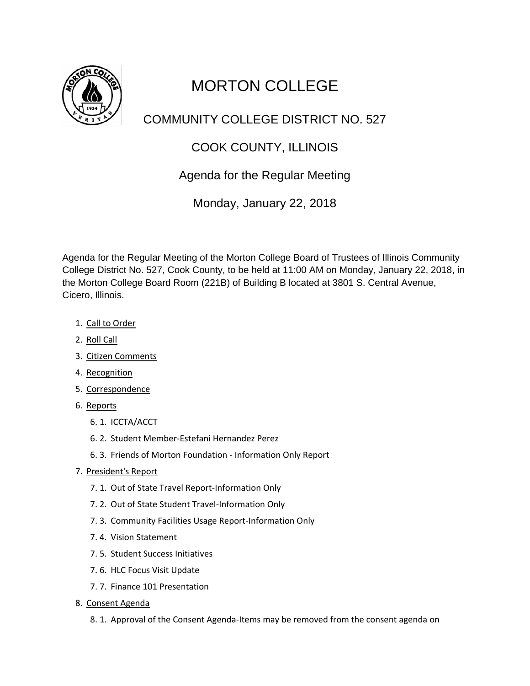

## MORTON COLLEGE

## COMMUNITY COLLEGE DISTRICT NO. 527

## COOK COUNTY, ILLINOIS

## Agenda for the Regular Meeting

Monday, January 22, 2018

Agenda for the Regular Meeting of the Morton College Board of Trustees of Illinois Community College District No. 527, Cook County, to be held at 11:00 AM on Monday, January 22, 2018, in the Morton College Board Room (221B) of Building B located at 3801 S. Central Avenue, Cicero, Illinois.

- 1. Call to Order
- 2. Roll Call
- 3. Citizen Comments
- 4. Recognition
- 5. Correspondence
- 6. Reports
	- 6. 1. ICCTA/ACCT
	- 6. 2. Student Member-Estefani Hernandez Perez
	- 6. 3. Friends of Morton Foundation Information Only Report
- 7. President's Report
	- 7. 1. Out of State Travel Report-Information Only
	- 7. 2. Out of State Student Travel-Information Only
	- 7. 3. Community Facilities Usage Report-Information Only
	- 7. 4. Vision Statement
	- 7. 5. Student Success Initiatives
	- 7. 6. HLC Focus Visit Update
	- 7. 7. Finance 101 Presentation
- 8. Consent Agenda
	- 8. 1. Approval of the Consent Agenda-Items may be removed from the consent agenda on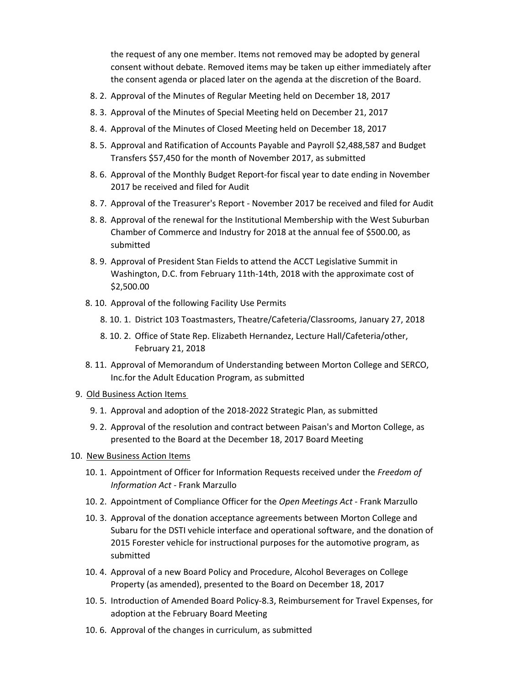the request of any one member. Items not removed may be adopted by general consent without debate. Removed items may be taken up either immediately after the consent agenda or placed later on the agenda at the discretion of the Board.

- 8. 2. Approval of the Minutes of Regular Meeting held on December 18, 2017
- 8. 3. Approval of the Minutes of Special Meeting held on December 21, 2017
- 8. 4. Approval of the Minutes of Closed Meeting held on December 18, 2017
- 8. 5. Approval and Ratification of Accounts Payable and Payroll \$2,488,587 and Budget Transfers \$57,450 for the month of November 2017, as submitted
- 8. 6. Approval of the Monthly Budget Report-for fiscal year to date ending in November 2017 be received and filed for Audit
- 8. 7. Approval of the Treasurer's Report November 2017 be received and filed for Audit
- 8. 8. Approval of the renewal for the Institutional Membership with the West Suburban Chamber of Commerce and Industry for 2018 at the annual fee of \$500.00, as submitted
- 8. 9. Approval of President Stan Fields to attend the ACCT Legislative Summit in Washington, D.C. from February 11th-14th, 2018 with the approximate cost of \$2,500.00
- 8. 10. Approval of the following Facility Use Permits
	- 8. 10. 1. District 103 Toastmasters, Theatre/Cafeteria/Classrooms, January 27, 2018
	- 8. 10. 2. Office of State Rep. Elizabeth Hernandez, Lecture Hall/Cafeteria/other, February 21, 2018
- 8. 11. Approval of Memorandum of Understanding between Morton College and SERCO, Inc.for the Adult Education Program, as submitted
- 9. Old Business Action Items
	- 9. 1. Approval and adoption of the 2018-2022 Strategic Plan, as submitted
	- 9. 2. Approval of the resolution and contract between Paisan's and Morton College, as presented to the Board at the December 18, 2017 Board Meeting
- 10. New Business Action Items
	- 10. 1. Appointment of Officer for Information Requests received under the *Freedom of Information Act -* Frank Marzullo
	- 10. 2. Appointment of Compliance Officer for the *Open Meetings Act* Frank Marzullo
	- 10. 3. Approval of the donation acceptance agreements between Morton College and Subaru for the DSTI vehicle interface and operational software, and the donation of 2015 Forester vehicle for instructional purposes for the automotive program, as submitted
	- 10. 4. Approval of a new Board Policy and Procedure, Alcohol Beverages on College Property (as amended), presented to the Board on December 18, 2017
	- 10. 5. Introduction of Amended Board Policy-8.3, Reimbursement for Travel Expenses, for adoption at the February Board Meeting
	- 10. 6. Approval of the changes in curriculum, as submitted